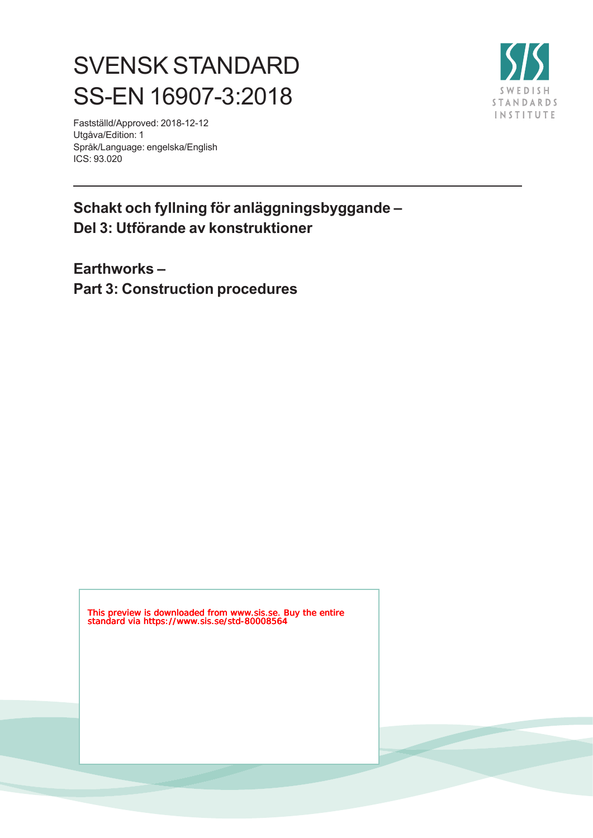# SVENSK STANDARD SS-EN 16907-3:2018

Fastställd/Approved: 2018-12-12 Utgåva/Edition: 1 Språk/Language: engelska/English ICS: 93.020



**Schakt och fyllning för anläggningsbyggande – Del 3: Utförande av konstruktioner**

**Earthworks – Part 3: Construction procedures**

This preview is downloaded from www.sis.se. Buy the entire standard via https://www.sis.se/std-80008564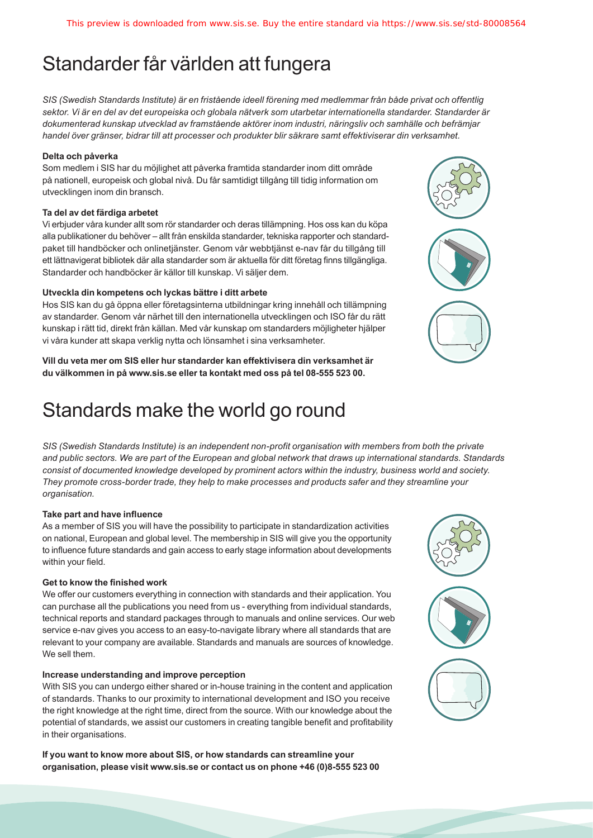## Standarder får världen att fungera

*SIS (Swedish Standards Institute) är en fristående ideell förening med medlemmar från både privat och offentlig sektor. Vi är en del av det europeiska och globala nätverk som utarbetar internationella standarder. Standarder är dokumenterad kunskap utvecklad av framstående aktörer inom industri, näringsliv och samhälle och befrämjar handel över gränser, bidrar till att processer och produkter blir säkrare samt effektiviserar din verksamhet.* 

#### **Delta och påverka**

Som medlem i SIS har du möjlighet att påverka framtida standarder inom ditt område på nationell, europeisk och global nivå. Du får samtidigt tillgång till tidig information om utvecklingen inom din bransch.

#### **Ta del av det färdiga arbetet**

Vi erbjuder våra kunder allt som rör standarder och deras tillämpning. Hos oss kan du köpa alla publikationer du behöver – allt från enskilda standarder, tekniska rapporter och standardpaket till handböcker och onlinetjänster. Genom vår webbtjänst e-nav får du tillgång till ett lättnavigerat bibliotek där alla standarder som är aktuella för ditt företag finns tillgängliga. Standarder och handböcker är källor till kunskap. Vi säljer dem.

#### **Utveckla din kompetens och lyckas bättre i ditt arbete**

Hos SIS kan du gå öppna eller företagsinterna utbildningar kring innehåll och tillämpning av standarder. Genom vår närhet till den internationella utvecklingen och ISO får du rätt kunskap i rätt tid, direkt från källan. Med vår kunskap om standarders möjligheter hjälper vi våra kunder att skapa verklig nytta och lönsamhet i sina verksamheter.

**Vill du veta mer om SIS eller hur standarder kan effektivisera din verksamhet är du välkommen in på www.sis.se eller ta kontakt med oss på tel 08-555 523 00.**

## Standards make the world go round

*SIS (Swedish Standards Institute) is an independent non-profit organisation with members from both the private and public sectors. We are part of the European and global network that draws up international standards. Standards consist of documented knowledge developed by prominent actors within the industry, business world and society. They promote cross-border trade, they help to make processes and products safer and they streamline your organisation.*

#### **Take part and have influence**

As a member of SIS you will have the possibility to participate in standardization activities on national, European and global level. The membership in SIS will give you the opportunity to influence future standards and gain access to early stage information about developments within your field.

#### **Get to know the finished work**

We offer our customers everything in connection with standards and their application. You can purchase all the publications you need from us - everything from individual standards, technical reports and standard packages through to manuals and online services. Our web service e-nav gives you access to an easy-to-navigate library where all standards that are relevant to your company are available. Standards and manuals are sources of knowledge. We sell them.

#### **Increase understanding and improve perception**

With SIS you can undergo either shared or in-house training in the content and application of standards. Thanks to our proximity to international development and ISO you receive the right knowledge at the right time, direct from the source. With our knowledge about the potential of standards, we assist our customers in creating tangible benefit and profitability in their organisations.

**If you want to know more about SIS, or how standards can streamline your organisation, please visit www.sis.se or contact us on phone +46 (0)8-555 523 00**



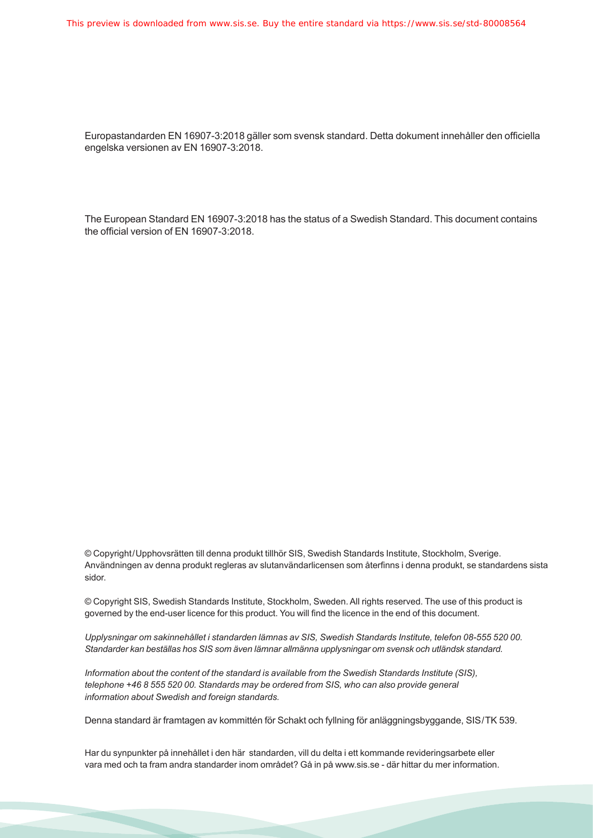Europastandarden EN 16907-3:2018 gäller som svensk standard. Detta dokument innehåller den officiella engelska versionen av EN 16907-3:2018.

The European Standard EN 16907-3:2018 has the status of a Swedish Standard. This document contains the official version of EN 16907-3:2018.

© Copyright / Upphovsrätten till denna produkt tillhör SIS, Swedish Standards Institute, Stockholm, Sverige. Användningen av denna produkt regleras av slutanvändarlicensen som återfinns i denna produkt, se standardens sista sidor.

© Copyright SIS, Swedish Standards Institute, Stockholm, Sweden. All rights reserved. The use of this product is governed by the end-user licence for this product. You will find the licence in the end of this document.

*Upplysningar om sakinnehållet i standarden lämnas av SIS, Swedish Standards Institute, telefon 08-555 520 00. Standarder kan beställas hos SIS som även lämnar allmänna upplysningar om svensk och utländsk standard.*

*Information about the content of the standard is available from the Swedish Standards Institute (SIS), telephone +46 8 555 520 00. Standards may be ordered from SIS, who can also provide general information about Swedish and foreign standards.*

Denna standard är framtagen av kommittén för Schakt och fyllning för anläggningsbyggande, SIS / TK 539.

Har du synpunkter på innehållet i den här standarden, vill du delta i ett kommande revideringsarbete eller vara med och ta fram andra standarder inom området? Gå in på www.sis.se - där hittar du mer information.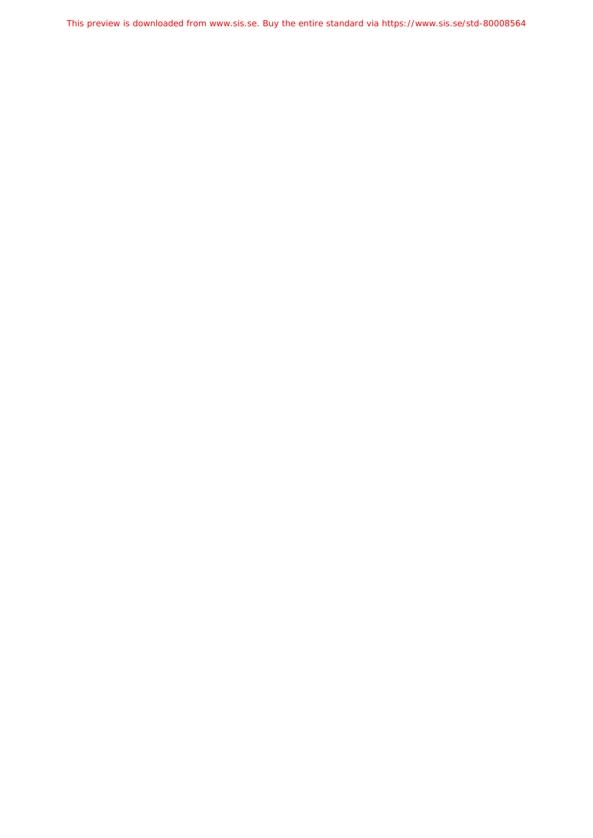This preview is downloaded from www.sis.se. Buy the entire standard via https://www.sis.se/std-80008564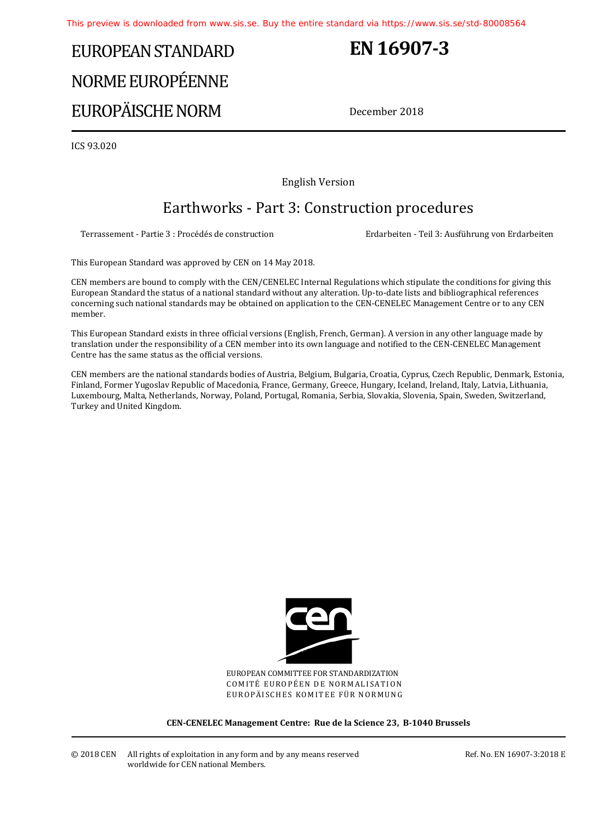# EUROPEAN STANDARD NORME EUROPÉENNE EUROPÄISCHE NORM

# **EN 16907-3**

December 2018

ICS 93.020

English Version

## Earthworks - Part 3: Construction procedures

Terrassement - Partie 3 : Procédés de construction Erdarbeiten - Teil 3: Ausführung von Erdarbeiten

This European Standard was approved by CEN on 14 May 2018.

CEN members are bound to comply with the CEN/CENELEC Internal Regulations which stipulate the conditions for giving this European Standard the status of a national standard without any alteration. Up-to-date lists and bibliographical references concerning such national standards may be obtained on application to the CEN-CENELEC Management Centre or to any CEN member.

This European Standard exists in three official versions (English, French, German). A version in any other language made by translation under the responsibility of a CEN member into its own language and notified to the CEN-CENELEC Management Centre has the same status as the official versions.

CEN members are the national standards bodies of Austria, Belgium, Bulgaria, Croatia, Cyprus, Czech Republic, Denmark, Estonia, Finland, Former Yugoslav Republic of Macedonia, France, Germany, Greece, Hungary, Iceland, Ireland, Italy, Latvia, Lithuania, Luxembourg, Malta, Netherlands, Norway, Poland, Portugal, Romania, Serbia, Slovakia, Slovenia, Spain, Sweden, Switzerland, Turkey and United Kingdom.



EUROPEAN COMMITTEE FOR STANDARDIZATION COMITÉ EUROPÉEN DE NORMALISATION EUROPÄISCHES KOMITEE FÜR NORMUNG

**CEN-CENELEC Management Centre: Rue de la Science 23, B-1040 Brussels** 

Ref. No. EN 16907-3:2018 E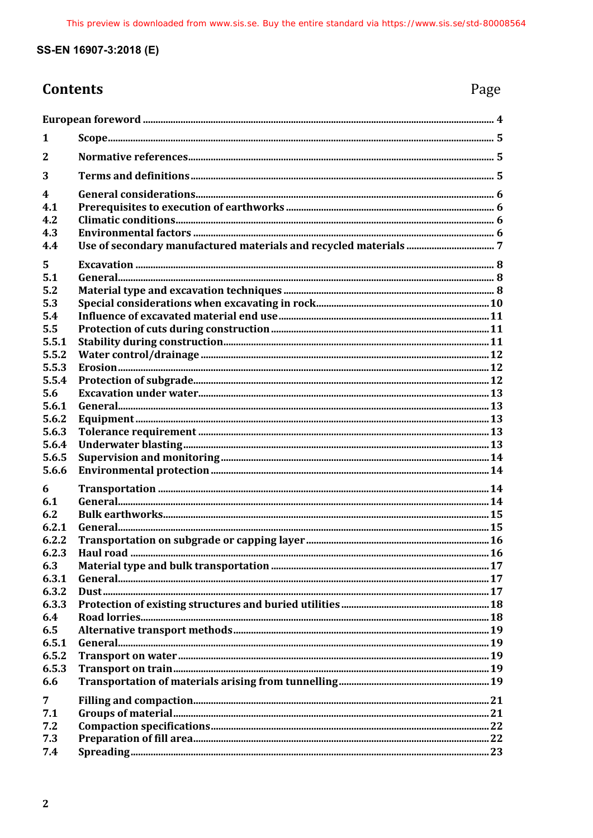## **Contents**

| 1                       |  |  |  |
|-------------------------|--|--|--|
| $\mathbf{2}$            |  |  |  |
| 3                       |  |  |  |
| $\overline{\mathbf{4}}$ |  |  |  |
| 4.1                     |  |  |  |
| 4.2                     |  |  |  |
| 4.3                     |  |  |  |
| 4.4                     |  |  |  |
| 5                       |  |  |  |
| 5.1                     |  |  |  |
| 5.2                     |  |  |  |
| 5.3                     |  |  |  |
| 5.4                     |  |  |  |
| 5.5                     |  |  |  |
| 5.5.1                   |  |  |  |
| 5.5.2                   |  |  |  |
| 5.5.3                   |  |  |  |
| 5.5.4                   |  |  |  |
| 5.6                     |  |  |  |
| 5.6.1                   |  |  |  |
| 5.6.2                   |  |  |  |
| 5.6.3                   |  |  |  |
| 5.6.4                   |  |  |  |
| 5.6.5                   |  |  |  |
| 5.6.6                   |  |  |  |
| 6                       |  |  |  |
| 6.1                     |  |  |  |
| 6.2                     |  |  |  |
| 6.2.1                   |  |  |  |
| 6.2.2                   |  |  |  |
| 6.2.3                   |  |  |  |
| 6.3                     |  |  |  |
| 6.3.1                   |  |  |  |
| 6.3.2                   |  |  |  |
| 6.3.3                   |  |  |  |
| 6.4<br>6.5              |  |  |  |
| 6.5.1                   |  |  |  |
| 6.5.2                   |  |  |  |
| 6.5.3                   |  |  |  |
| 6.6                     |  |  |  |
|                         |  |  |  |
| 7<br>7.1                |  |  |  |
| 7.2                     |  |  |  |
| 7.3                     |  |  |  |
| 7.4                     |  |  |  |
|                         |  |  |  |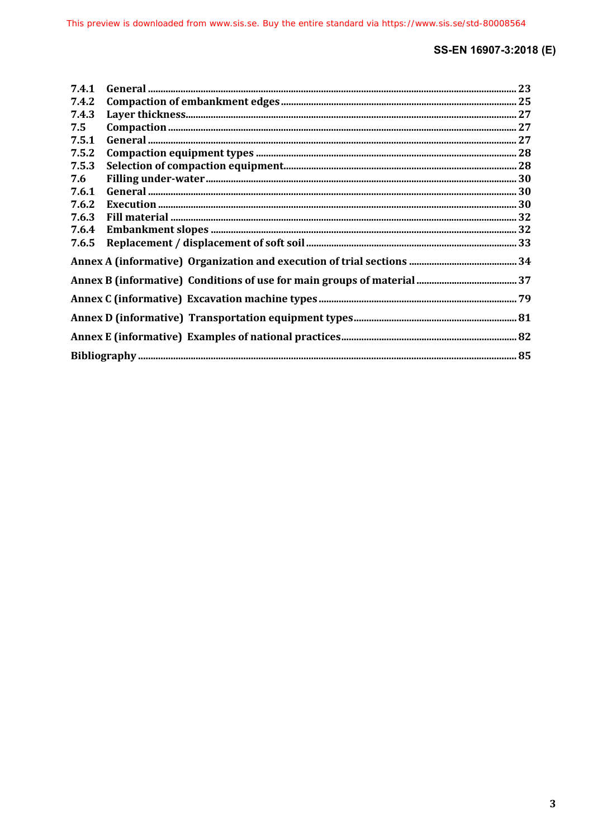| 7.4.1 |  |
|-------|--|
| 7.4.2 |  |
| 7.4.3 |  |
| 7.5   |  |
| 7.5.1 |  |
| 7.5.2 |  |
| 7.5.3 |  |
| 7.6   |  |
| 7.6.1 |  |
| 7.6.2 |  |
| 7.6.3 |  |
| 7.6.4 |  |
| 7.6.5 |  |
|       |  |
|       |  |
|       |  |
|       |  |
|       |  |
|       |  |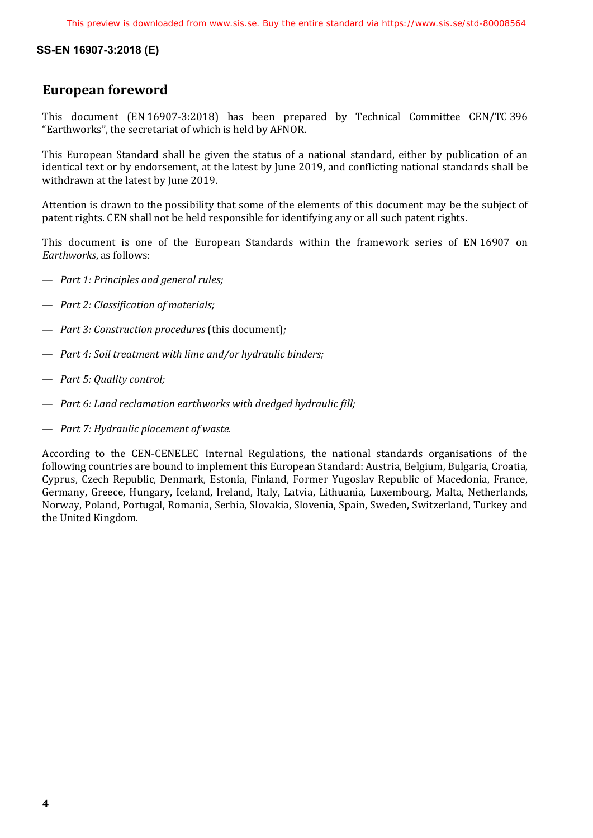## <span id="page-7-0"></span>**European foreword**

This document (EN 16907-3:2018) has been prepared by Technical Committee CEN/TC 396 "Earthworks", the secretariat of which is held by AFNOR.

This European Standard shall be given the status of a national standard, either by publication of an identical text or by endorsement, at the latest by June 2019, and conflicting national standards shall be withdrawn at the latest by June 2019.

Attention is drawn to the possibility that some of the elements of this document may be the subject of patent rights. CEN shall not be held responsible for identifying any or all such patent rights.

This document is one of the European Standards within the framework series of EN 16907 on *Earthworks*, as follows:

- *Part 1: Principles and general rules;*
- *Part 2: Classification of materials;*
- *Part 3: Construction procedures* (this document)*;*
- *Part 4: Soil treatment with lime and/or hydraulic binders;*
- *Part 5: Quality control;*
- *Part 6: Land reclamation earthworks with dredged hydraulic fill;*
- *Part 7: Hydraulic placement of waste.*

According to the CEN-CENELEC Internal Regulations, the national standards organisations of the following countries are bound to implement this European Standard: Austria, Belgium, Bulgaria, Croatia, Cyprus, Czech Republic, Denmark, Estonia, Finland, Former Yugoslav Republic of Macedonia, France, Germany, Greece, Hungary, Iceland, Ireland, Italy, Latvia, Lithuania, Luxembourg, Malta, Netherlands, Norway, Poland, Portugal, Romania, Serbia, Slovakia, Slovenia, Spain, Sweden, Switzerland, Turkey and the United Kingdom.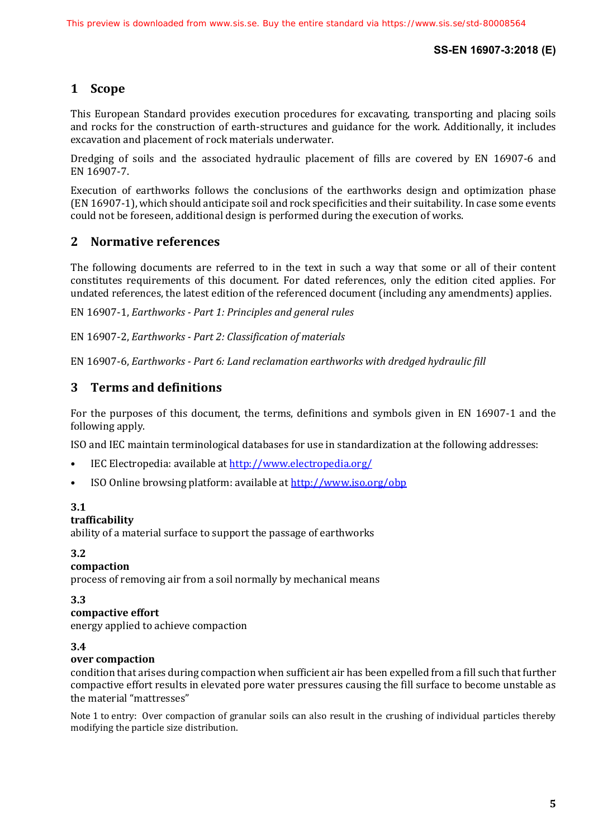## <span id="page-8-0"></span>**1 Scope**

This European Standard provides execution procedures for excavating, transporting and placing soils and rocks for the construction of earth-structures and guidance for the work. Additionally, it includes excavation and placement of rock materials underwater.

Dredging of soils and the associated hydraulic placement of fills are covered by EN 16907-6 and EN 16907-7.

Execution of earthworks follows the conclusions of the earthworks design and optimization phase (EN 16907-1), which should anticipate soil and rock specificities and their suitability. In case some events could not be foreseen, additional design is performed during the execution of works.

### <span id="page-8-1"></span>**2 Normative references**

The following documents are referred to in the text in such a way that some or all of their content constitutes requirements of this document. For dated references, only the edition cited applies. For undated references, the latest edition of the referenced document (including any amendments) applies.

EN 16907-1, *Earthworks - Part 1: Principles and general rules*

EN 16907-2, *Earthworks - Part 2: Classification of materials*

EN 16907-6, *Earthworks - Part 6: Land reclamation earthworks with dredged hydraulic fill*

#### <span id="page-8-2"></span>**3 Terms and definitions**

For the purposes of this document, the terms, definitions and symbols given in EN 16907-1 and the following apply.

ISO and IEC maintain terminological databases for use in standardization at the following addresses:

- IEC Electropedia: available a[t http://www.electropedia.org/](http://www.electropedia.org/)
- ISO Online browsing platform: available at<http://www.iso.org/obp>

#### **3.1**

#### **trafficability**

ability of a material surface to support the passage of earthworks

#### **3.2**

#### **compaction**

process of removing air from a soil normally by mechanical means

**3.3**

#### **compactive effort**

energy applied to achieve compaction

#### **3.4**

#### **over compaction**

condition that arises during compaction when sufficient air has been expelled from a fill such that further compactive effort results in elevated pore water pressures causing the fill surface to become unstable as the material "mattresses"

Note 1 to entry: Over compaction of granular soils can also result in the crushing of individual particles thereby modifying the particle size distribution.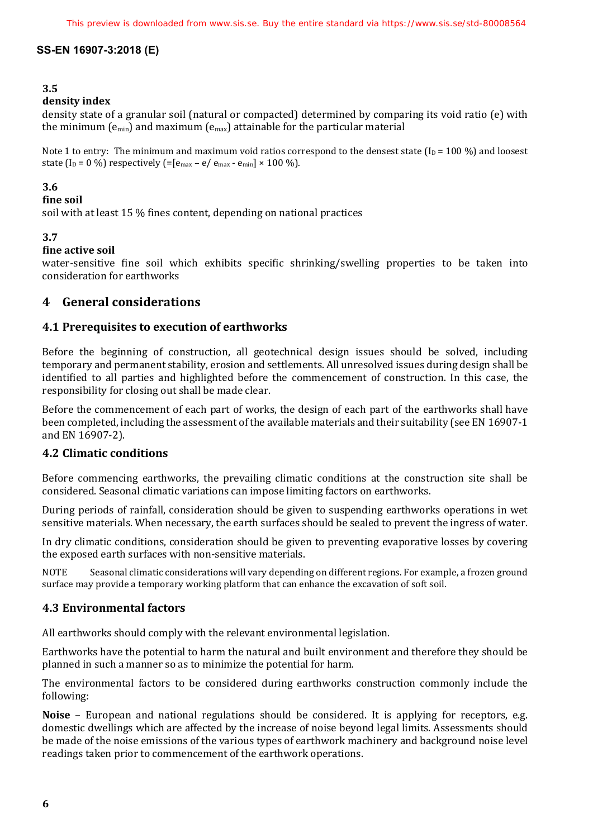#### **3.5**

#### **density index**

density state of a granular soil (natural or compacted) determined by comparing its void ratio (e) with the minimum ( $e_{min}$ ) and maximum ( $e_{max}$ ) attainable for the particular material

Note 1 to entry: The minimum and maximum void ratios correspond to the densest state  $(I_D = 100\%)$  and loosest state (I<sub>D</sub> = 0 %) respectively (=[ $e_{max} - e/e_{max} - e_{min}$ ] × 100 %).

#### **3.6**

#### **fine soil**

soil with at least 15 % fines content, depending on national practices

#### **3.7**

#### **fine active soil**

water-sensitive fine soil which exhibits specific shrinking/swelling properties to be taken into consideration for earthworks

#### <span id="page-9-0"></span>**4 General considerations**

#### <span id="page-9-1"></span>**4.1 Prerequisites to execution of earthworks**

Before the beginning of construction, all geotechnical design issues should be solved, including temporary and permanent stability, erosion and settlements. All unresolved issues during design shall be identified to all parties and highlighted before the commencement of construction. In this case, the responsibility for closing out shall be made clear.

Before the commencement of each part of works, the design of each part of the earthworks shall have been completed, including the assessment of the available materials and their suitability (see EN 16907-1 and EN 16907-2).

#### <span id="page-9-2"></span>**4.2 Climatic conditions**

Before commencing earthworks, the prevailing climatic conditions at the construction site shall be considered. Seasonal climatic variations can impose limiting factors on earthworks.

During periods of rainfall, consideration should be given to suspending earthworks operations in wet sensitive materials. When necessary, the earth surfaces should be sealed to prevent the ingress of water.

In dry climatic conditions, consideration should be given to preventing evaporative losses by covering the exposed earth surfaces with non-sensitive materials.

NOTE Seasonal climatic considerations will vary depending on different regions. For example, a frozen ground surface may provide a temporary working platform that can enhance the excavation of soft soil.

#### <span id="page-9-3"></span>**4.3 Environmental factors**

All earthworks should comply with the relevant environmental legislation.

Earthworks have the potential to harm the natural and built environment and therefore they should be planned in such a manner so as to minimize the potential for harm.

The environmental factors to be considered during earthworks construction commonly include the following:

**Noise** – European and national regulations should be considered. It is applying for receptors, e.g. domestic dwellings which are affected by the increase of noise beyond legal limits. Assessments should be made of the noise emissions of the various types of earthwork machinery and background noise level readings taken prior to commencement of the earthwork operations.